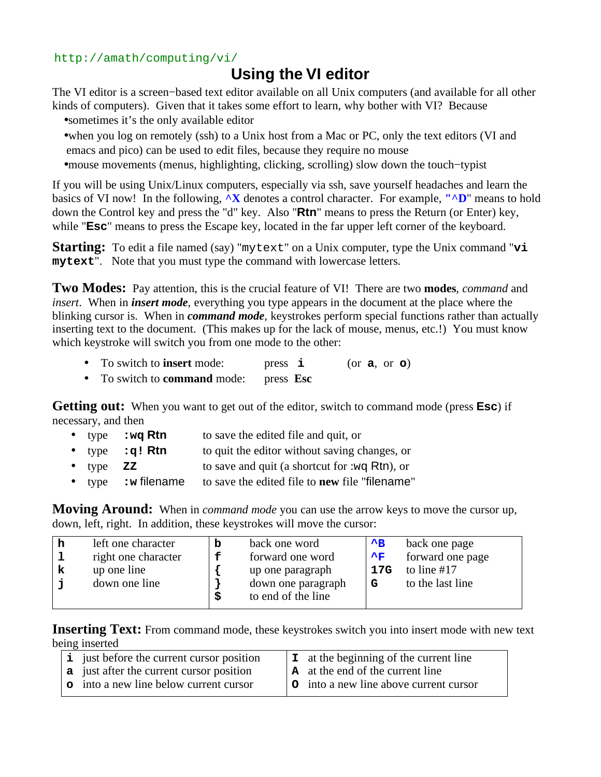## http://amath/computing/vi/

## **Using the VI editor**

The VI editor is a screen−based text editor available on all Unix computers (and available for all other kinds of computers). Given that it takes some effort to learn, why bother with VI? Because

•sometimes it's the only available editor

- •when you log on remotely (ssh) to a Unix host from a Mac or PC, only the text editors (VI and emacs and pico) can be used to edit files, because they require no mouse
- •mouse movements (menus, highlighting, clicking, scrolling) slow down the touch−typist

If you will be using Unix/Linux computers, especially via ssh, save yourself headaches and learn the basics of VI now! In the following, **^X** denotes a control character. For example, **"^D**" means to hold down the Control key and press the "d" key. Also "**Rtn**" means to press the Return (or Enter) key, while "**Esc**" means to press the Escape key, located in the far upper left corner of the keyboard.

**Starting:** To edit a file named (say) "mytext" on a Unix computer, type the Unix command "**vi mytext**". Note that you must type the command with lowercase letters.

**Two Modes:** Pay attention, this is the crucial feature of VI! There are two **modes**, *command* and *insert*. When in *insert mode*, everything you type appears in the document at the place where the blinking cursor is. When in *command mode*, keystrokes perform special functions rather than actually inserting text to the document. (This makes up for the lack of mouse, menus, etc.!) You must know which keystroke will switch you from one mode to the other:

- To switch to **insert** mode: press **i** (or **a**, or **o**)
- To switch to **command** mode: press **Esc**

**Getting out:** When you want to get out of the editor, switch to command mode (press **Esc**) if necessary, and then

- type **:wq Rtn** to save the edited file and quit, or
- type **:q! Rtn** to quit the editor without saving changes, or
- type **ZZ** to save and quit (a shortcut for :wq Rtn), or
- type **:w** filename to save the edited file to **new** file "filename"

**Moving Around:** When in *command mode* you can use the arrow keys to move the cursor up, down, left, right. In addition, these keystrokes will move the cursor:

|   | left one character           | b | back one word                                                | $\mathbf{A}$ | back one page                     |
|---|------------------------------|---|--------------------------------------------------------------|--------------|-----------------------------------|
|   | right one character          | f | forward one word                                             | 木屋           | forward one page                  |
| k | up one line<br>down one line | S | up one paragraph<br>down one paragraph<br>to end of the line | 17G<br>G     | to line $#17$<br>to the last line |

**Inserting Text:** From command mode, these keystrokes switch you into insert mode with new text being inserted

| <i>i</i> just before the current cursor position | $\vert$ <b>I</b> at the beginning of the current line |
|--------------------------------------------------|-------------------------------------------------------|
| <b>a</b> just after the current cursor position  | <b>A</b> at the end of the current line               |
| o into a new line below current cursor           | <b>O</b> into a new line above current cursor         |